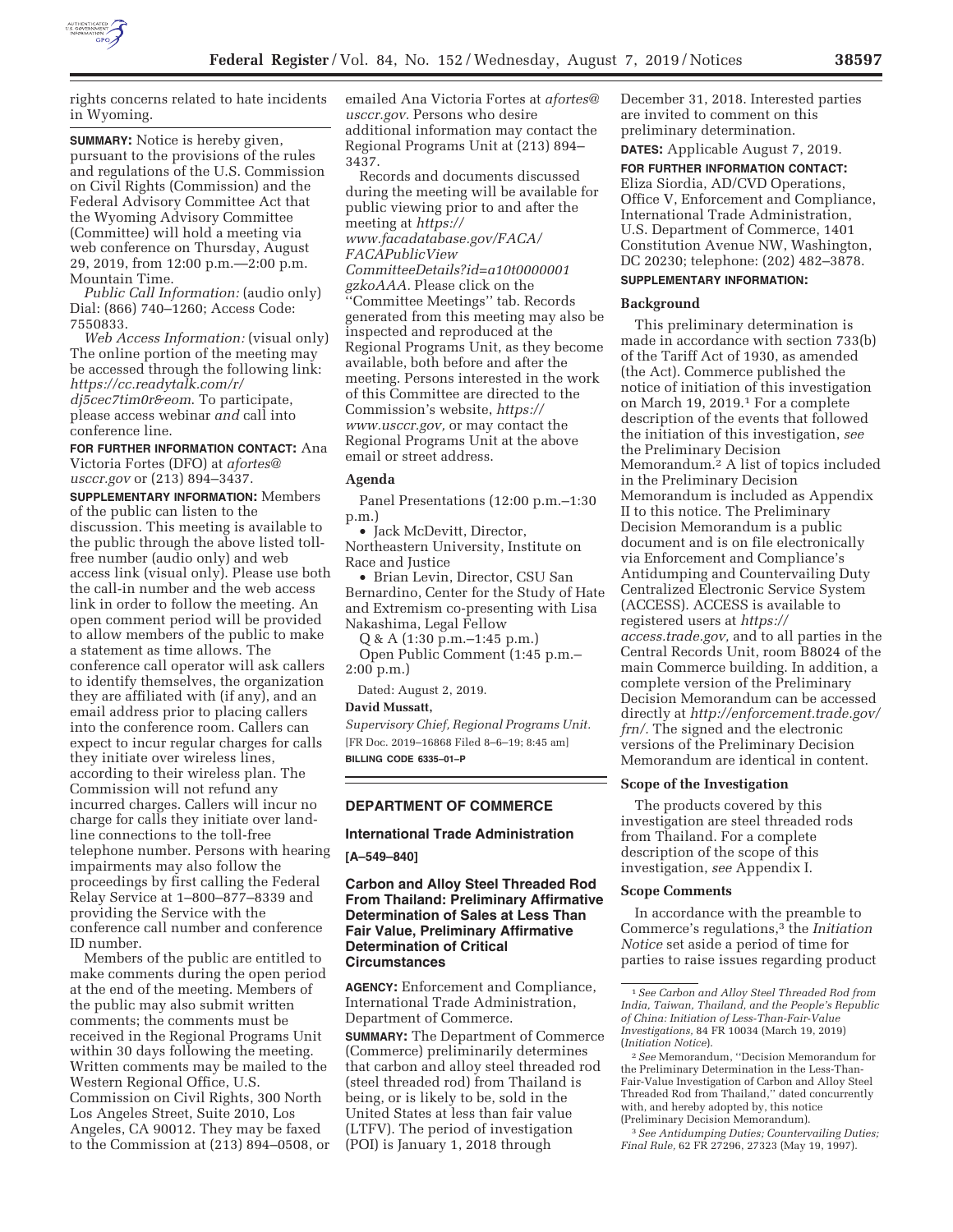

rights concerns related to hate incidents in Wyoming.

**SUMMARY:** Notice is hereby given, pursuant to the provisions of the rules and regulations of the U.S. Commission on Civil Rights (Commission) and the Federal Advisory Committee Act that the Wyoming Advisory Committee (Committee) will hold a meeting via web conference on Thursday, August 29, 2019, from 12:00 p.m.—2:00 p.m. Mountain Time.

*Public Call Information:* (audio only) Dial: (866) 740–1260; Access Code: 7550833.

*Web Access Information:* (visual only) The online portion of the meeting may be accessed through the following link: *https://cc.readytalk.com/r/ dj5cec7tim0r&eom*. To participate, please access webinar *and* call into conference line.

**FOR FURTHER INFORMATION CONTACT:** Ana Victoria Fortes (DFO) at *afortes@*

*usccr.gov* or (213) 894–3437.

**SUPPLEMENTARY INFORMATION:** Members of the public can listen to the discussion. This meeting is available to the public through the above listed tollfree number (audio only) and web access link (visual only). Please use both the call-in number and the web access link in order to follow the meeting. An open comment period will be provided to allow members of the public to make a statement as time allows. The conference call operator will ask callers to identify themselves, the organization they are affiliated with (if any), and an email address prior to placing callers into the conference room. Callers can expect to incur regular charges for calls they initiate over wireless lines, according to their wireless plan. The Commission will not refund any incurred charges. Callers will incur no charge for calls they initiate over landline connections to the toll-free telephone number. Persons with hearing impairments may also follow the proceedings by first calling the Federal Relay Service at 1–800–877–8339 and providing the Service with the conference call number and conference ID number.

Members of the public are entitled to make comments during the open period at the end of the meeting. Members of the public may also submit written comments; the comments must be received in the Regional Programs Unit within 30 days following the meeting. Written comments may be mailed to the Western Regional Office, U.S. Commission on Civil Rights, 300 North Los Angeles Street, Suite 2010, Los Angeles, CA 90012. They may be faxed to the Commission at (213) 894–0508, or emailed Ana Victoria Fortes at *afortes@ usccr.gov.* Persons who desire additional information may contact the Regional Programs Unit at (213) 894– 3437.

Records and documents discussed during the meeting will be available for public viewing prior to and after the meeting at *https://*

*www.facadatabase.gov/FACA/ FACAPublicView*

*CommitteeDetails?id=a10t0000001*

*gzkoAAA.* Please click on the ''Committee Meetings'' tab. Records generated from this meeting may also be inspected and reproduced at the Regional Programs Unit, as they become available, both before and after the meeting. Persons interested in the work of this Committee are directed to the Commission's website, *https:// www.usccr.gov,* or may contact the Regional Programs Unit at the above email or street address.

# **Agenda**

Panel Presentations (12:00 p.m.–1:30 p.m.)

• Jack McDevitt, Director, Northeastern University, Institute on Race and Justice

• Brian Levin, Director, CSU San Bernardino, Center for the Study of Hate and Extremism co-presenting with Lisa Nakashima, Legal Fellow

Q & A (1:30 p.m.–1:45 p.m.) Open Public Comment (1:45 p.m.– 2:00 p.m.)

Dated: August 2, 2019.

#### **David Mussatt,**

*Supervisory Chief, Regional Programs Unit.*  [FR Doc. 2019–16868 Filed 8–6–19; 8:45 am] **BILLING CODE 6335–01–P** 

## **DEPARTMENT OF COMMERCE**

## **International Trade Administration**

**[A–549–840]** 

# **Carbon and Alloy Steel Threaded Rod From Thailand: Preliminary Affirmative Determination of Sales at Less Than Fair Value, Preliminary Affirmative Determination of Critical Circumstances**

**AGENCY:** Enforcement and Compliance, International Trade Administration, Department of Commerce.

**SUMMARY:** The Department of Commerce (Commerce) preliminarily determines that carbon and alloy steel threaded rod (steel threaded rod) from Thailand is being, or is likely to be, sold in the United States at less than fair value (LTFV). The period of investigation (POI) is January 1, 2018 through

December 31, 2018. Interested parties are invited to comment on this preliminary determination.

**DATES:** Applicable August 7, 2019. **FOR FURTHER INFORMATION CONTACT:**  Eliza Siordia, AD/CVD Operations, Office V, Enforcement and Compliance, International Trade Administration, U.S. Department of Commerce, 1401 Constitution Avenue NW, Washington, DC 20230; telephone: (202) 482–3878.

# **SUPPLEMENTARY INFORMATION:**

## **Background**

This preliminary determination is made in accordance with section 733(b) of the Tariff Act of 1930, as amended (the Act). Commerce published the notice of initiation of this investigation on March 19, 2019.1 For a complete description of the events that followed the initiation of this investigation, *see*  the Preliminary Decision Memorandum.2 A list of topics included in the Preliminary Decision Memorandum is included as Appendix II to this notice. The Preliminary Decision Memorandum is a public document and is on file electronically via Enforcement and Compliance's Antidumping and Countervailing Duty Centralized Electronic Service System (ACCESS). ACCESS is available to registered users at *https:// access.trade.gov,* and to all parties in the Central Records Unit, room B8024 of the main Commerce building. In addition, a complete version of the Preliminary Decision Memorandum can be accessed directly at *http://enforcement.trade.gov/ frn/.* The signed and the electronic versions of the Preliminary Decision Memorandum are identical in content.

#### **Scope of the Investigation**

The products covered by this investigation are steel threaded rods from Thailand. For a complete description of the scope of this investigation, *see* Appendix I.

## **Scope Comments**

In accordance with the preamble to Commerce's regulations,3 the *Initiation Notice* set aside a period of time for parties to raise issues regarding product

3*See Antidumping Duties; Countervailing Duties; Final Rule,* 62 FR 27296, 27323 (May 19, 1997).

<sup>1</sup>*See Carbon and Alloy Steel Threaded Rod from India, Taiwan, Thailand, and the People's Republic of China: Initiation of Less-Than-Fair-Value Investigations,* 84 FR 10034 (March 19, 2019) (*Initiation Notice*).

<sup>2</sup>*See* Memorandum, ''Decision Memorandum for the Preliminary Determination in the Less-Than-Fair-Value Investigation of Carbon and Alloy Steel Threaded Rod from Thailand,'' dated concurrently with, and hereby adopted by, this notice (Preliminary Decision Memorandum).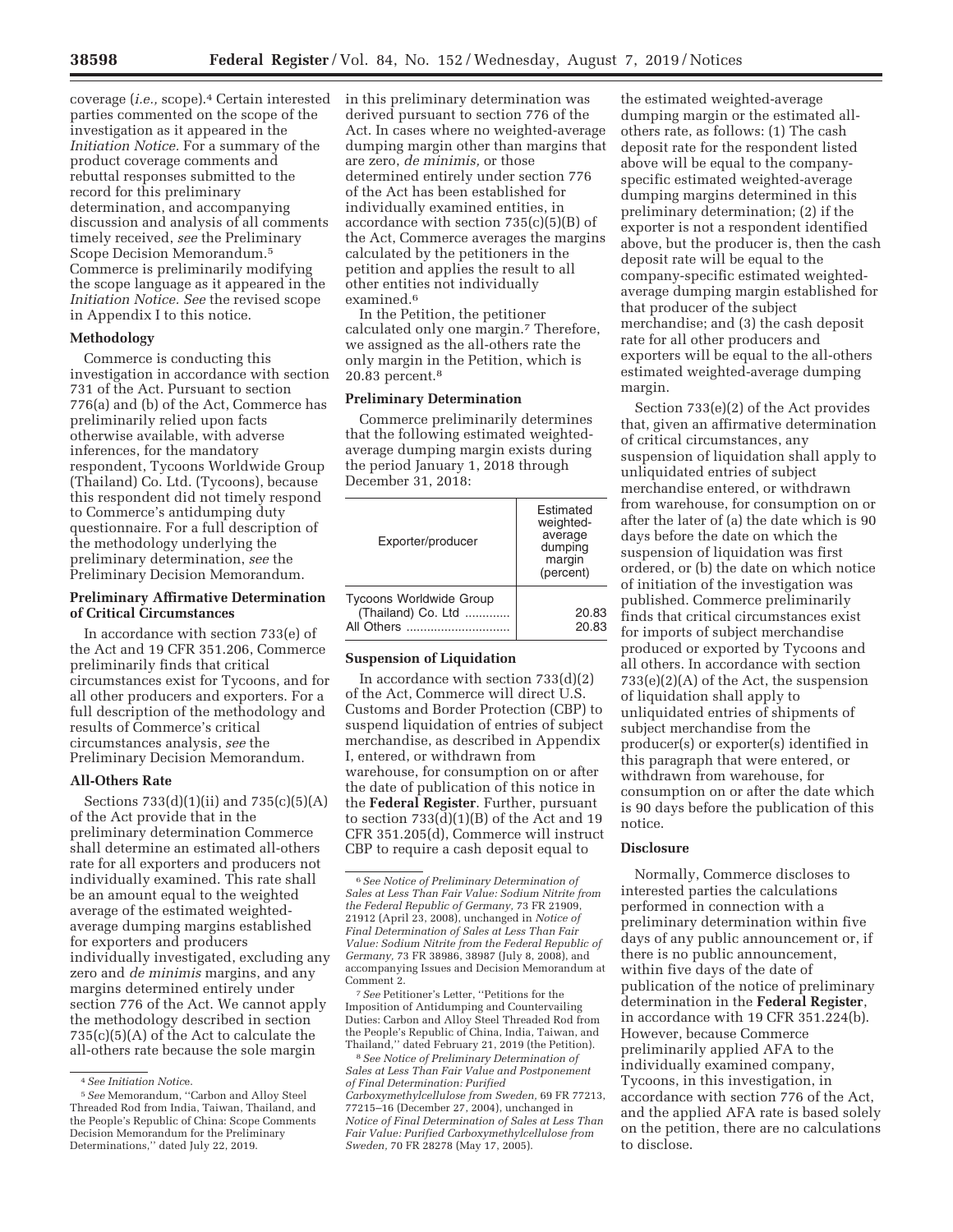coverage (*i.e.,* scope).4 Certain interested parties commented on the scope of the investigation as it appeared in the *Initiation Notice.* For a summary of the product coverage comments and rebuttal responses submitted to the record for this preliminary determination, and accompanying discussion and analysis of all comments timely received, *see* the Preliminary Scope Decision Memorandum.5 Commerce is preliminarily modifying the scope language as it appeared in the *Initiation Notice. See* the revised scope in Appendix I to this notice.

#### **Methodology**

Commerce is conducting this investigation in accordance with section 731 of the Act. Pursuant to section 776(a) and (b) of the Act, Commerce has preliminarily relied upon facts otherwise available, with adverse inferences, for the mandatory respondent, Tycoons Worldwide Group (Thailand) Co. Ltd. (Tycoons), because this respondent did not timely respond to Commerce's antidumping duty questionnaire. For a full description of the methodology underlying the preliminary determination, *see* the Preliminary Decision Memorandum.

# **Preliminary Affirmative Determination of Critical Circumstances**

In accordance with section 733(e) of the Act and 19 CFR 351.206, Commerce preliminarily finds that critical circumstances exist for Tycoons, and for all other producers and exporters. For a full description of the methodology and results of Commerce's critical circumstances analysis, *see* the Preliminary Decision Memorandum.

#### **All-Others Rate**

Sections 733(d)(1)(ii) and 735(c)(5)(A) of the Act provide that in the preliminary determination Commerce shall determine an estimated all-others rate for all exporters and producers not individually examined. This rate shall be an amount equal to the weighted average of the estimated weightedaverage dumping margins established for exporters and producers individually investigated, excluding any zero and *de minimis* margins, and any margins determined entirely under section 776 of the Act. We cannot apply the methodology described in section 735(c)(5)(A) of the Act to calculate the all-others rate because the sole margin

in this preliminary determination was derived pursuant to section 776 of the Act. In cases where no weighted-average dumping margin other than margins that are zero, *de minimis,* or those determined entirely under section 776 of the Act has been established for individually examined entities, in accordance with section 735(c)(5)(B) of the Act, Commerce averages the margins calculated by the petitioners in the petition and applies the result to all other entities not individually examined.<sup>6</sup>

In the Petition, the petitioner calculated only one margin.7 Therefore, we assigned as the all-others rate the only margin in the Petition, which is 20.83 percent.8

## **Preliminary Determination**

Commerce preliminarily determines that the following estimated weightedaverage dumping margin exists during the period January 1, 2018 through December 31, 2018:

| Exporter/producer                                                  | Estimated<br>weighted-<br>average<br>dumping<br>margin<br>(percent) |
|--------------------------------------------------------------------|---------------------------------------------------------------------|
| <b>Tycoons Worldwide Group</b><br>(Thailand) Co. Ltd<br>All Others | 20.83<br>20.83                                                      |

# **Suspension of Liquidation**

In accordance with section  $733(d)(2)$ of the Act, Commerce will direct U.S. Customs and Border Protection (CBP) to suspend liquidation of entries of subject merchandise, as described in Appendix I, entered, or withdrawn from warehouse, for consumption on or after the date of publication of this notice in the **Federal Register**. Further, pursuant to section  $733(d)(1)(B)$  of the Act and 19 CFR 351.205(d), Commerce will instruct CBP to require a cash deposit equal to

7*See* Petitioner's Letter, ''Petitions for the Imposition of Antidumping and Countervailing Duties: Carbon and Alloy Steel Threaded Rod from the People's Republic of China, India, Taiwan, and Thailand,'' dated February 21, 2019 (the Petition).

8*See Notice of Preliminary Determination of Sales at Less Than Fair Value and Postponement of Final Determination: Purified Carboxymethylcellulose from Sweden,* 69 FR 77213, 77215–16 (December 27, 2004), unchanged in *Notice of Final Determination of Sales at Less Than Fair Value: Purified Carboxymethylcellulose from Sweden,* 70 FR 28278 (May 17, 2005).

the estimated weighted-average dumping margin or the estimated allothers rate, as follows: (1) The cash deposit rate for the respondent listed above will be equal to the companyspecific estimated weighted-average dumping margins determined in this preliminary determination; (2) if the exporter is not a respondent identified above, but the producer is, then the cash deposit rate will be equal to the company-specific estimated weightedaverage dumping margin established for that producer of the subject merchandise; and (3) the cash deposit rate for all other producers and exporters will be equal to the all-others estimated weighted-average dumping margin.

Section 733(e)(2) of the Act provides that, given an affirmative determination of critical circumstances, any suspension of liquidation shall apply to unliquidated entries of subject merchandise entered, or withdrawn from warehouse, for consumption on or after the later of (a) the date which is 90 days before the date on which the suspension of liquidation was first ordered, or (b) the date on which notice of initiation of the investigation was published. Commerce preliminarily finds that critical circumstances exist for imports of subject merchandise produced or exported by Tycoons and all others. In accordance with section 733(e)(2)(A) of the Act, the suspension of liquidation shall apply to unliquidated entries of shipments of subject merchandise from the producer(s) or exporter(s) identified in this paragraph that were entered, or withdrawn from warehouse, for consumption on or after the date which is 90 days before the publication of this notice.

## **Disclosure**

Normally, Commerce discloses to interested parties the calculations performed in connection with a preliminary determination within five days of any public announcement or, if there is no public announcement, within five days of the date of publication of the notice of preliminary determination in the **Federal Register**, in accordance with 19 CFR 351.224(b). However, because Commerce preliminarily applied AFA to the individually examined company, Tycoons, in this investigation, in accordance with section 776 of the Act, and the applied AFA rate is based solely on the petition, there are no calculations to disclose.

<sup>4</sup>*See Initiation Notic*e.

<sup>5</sup>*See* Memorandum, ''Carbon and Alloy Steel Threaded Rod from India, Taiwan, Thailand, and the People's Republic of China: Scope Comments Decision Memorandum for the Preliminary Determinations,'' dated July 22, 2019.

<sup>6</sup>*See Notice of Preliminary Determination of Sales at Less Than Fair Value: Sodium Nitrite from the Federal Republic of Germany,* 73 FR 21909, 21912 (April 23, 2008), unchanged in *Notice of Final Determination of Sales at Less Than Fair Value: Sodium Nitrite from the Federal Republic of Germany,* 73 FR 38986, 38987 (July 8, 2008), and accompanying Issues and Decision Memorandum at Comment 2.